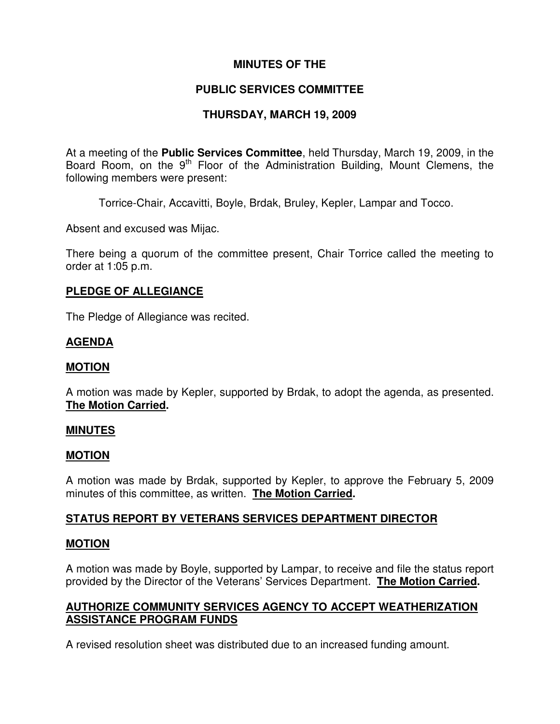# **MINUTES OF THE**

## **PUBLIC SERVICES COMMITTEE**

## **THURSDAY, MARCH 19, 2009**

At a meeting of the **Public Services Committee**, held Thursday, March 19, 2009, in the Board Room, on the 9<sup>th</sup> Floor of the Administration Building, Mount Clemens, the following members were present:

Torrice-Chair, Accavitti, Boyle, Brdak, Bruley, Kepler, Lampar and Tocco.

Absent and excused was Mijac.

There being a quorum of the committee present, Chair Torrice called the meeting to order at 1:05 p.m.

#### **PLEDGE OF ALLEGIANCE**

The Pledge of Allegiance was recited.

### **AGENDA**

#### **MOTION**

A motion was made by Kepler, supported by Brdak, to adopt the agenda, as presented. **The Motion Carried.**

#### **MINUTES**

#### **MOTION**

A motion was made by Brdak, supported by Kepler, to approve the February 5, 2009 minutes of this committee, as written. **The Motion Carried.**

### **STATUS REPORT BY VETERANS SERVICES DEPARTMENT DIRECTOR**

#### **MOTION**

A motion was made by Boyle, supported by Lampar, to receive and file the status report provided by the Director of the Veterans' Services Department. **The Motion Carried.**

### **AUTHORIZE COMMUNITY SERVICES AGENCY TO ACCEPT WEATHERIZATION ASSISTANCE PROGRAM FUNDS**

A revised resolution sheet was distributed due to an increased funding amount.